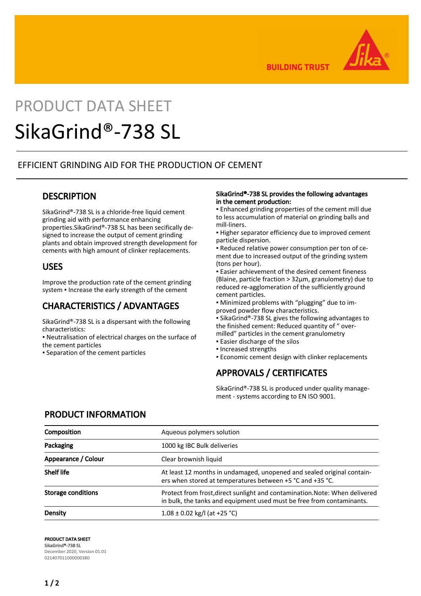

**BUILDING TRUST** 

# PRODUCT DATA SHEET

## SikaGrind®-738 SL

#### EFFICIENT GRINDING AID FOR THE PRODUCTION OF CEMENT

#### **DESCRIPTION**

SikaGrind®-738 SL is a chloride-free liquid cement grinding aid with performance enhancing properties.SikaGrind®-738 SL has been secifically designed to increase the output of cement grinding plants and obtain improved strength development for cements with high amount of clinker replacements.

#### USES

Improve the production rate of the cement grinding system . Increase the early strength of the cement

## CHARACTERISTICS / ADVANTAGES

SikaGrind®-738 SL is a dispersant with the following characteristics:

- Neutralisation of electrical charges on the surface of the cement particles
- Separation of the cement particles

#### SikaGrind®-738 SL provides the following advantages in the cement production:

▪ Enhanced grinding properties of the cement mill due to less accumulation of material on grinding balls and mill-liners.

**.** Higher separator efficiency due to improved cement particle dispersion.

▪ Reduced relative power consumption per ton of cement due to increased output of the grinding system (tons per hour).

▪ Easier achievement of the desired cement fineness (Blaine, particle fraction > 32μm, granulometry) due to reduced re-agglomeration of the sufficiently ground cement particles.

▪ Minimized problems with "plugging" due to improved powder flow characteristics.

■ SikaGrind®-738 SL gives the following advantages to the finished cement: Reduced quantity of " overmilled" particles in the cement granulometry

- **Easier discharge of the silos**
- Increased strengths
- **Economic cement design with clinker replacements**

## APPROVALS / CERTIFICATES

SikaGrind®-738 SL is produced under quality management - systems according to EN ISO 9001.

#### PRODUCT INFORMATION

| Composition         | Aqueous polymers solution                                                                                                                            |
|---------------------|------------------------------------------------------------------------------------------------------------------------------------------------------|
| Packaging           | 1000 kg IBC Bulk deliveries                                                                                                                          |
| Appearance / Colour | Clear brownish liquid                                                                                                                                |
| <b>Shelf life</b>   | At least 12 months in undamaged, unopened and sealed original contain-<br>ers when stored at temperatures between +5 °C and +35 °C.                  |
| Storage conditions  | Protect from frost, direct sunlight and contamination. Note: When delivered<br>in bulk, the tanks and equipment used must be free from contaminants. |
| Density             | $1.08 \pm 0.02$ kg/l (at +25 °C)                                                                                                                     |

PRODUCT DATA SHEET SikaGrind®-738 SL December 2020, Version 01.01 021407011000000380